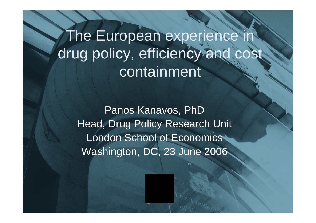The European experience drug policy, efficiency and cost containment

Panos Kanavos, PhD Head, Drug Policy Research Unit London School of Economics Washington, DC, 23 June 2006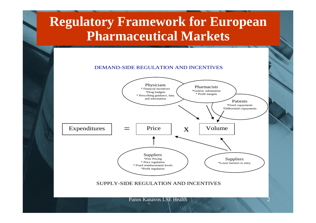### **Regulatory Framework for European Pharmaceutical Markets**

#### DEMAND-SIDE REGULATION AND INCENTIVES

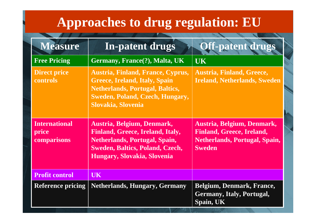## **Approaches to drug regulation: EU**

| <b>Measure</b>                               | <b>In-patent drugs</b>                                                                                                                                                                 | Off-patent drugs                                                                                                        |
|----------------------------------------------|----------------------------------------------------------------------------------------------------------------------------------------------------------------------------------------|-------------------------------------------------------------------------------------------------------------------------|
| <b>Free Pricing</b>                          | Germany, France(?), Malta, UK                                                                                                                                                          | <b>UK</b>                                                                                                               |
| <b>Direct price</b><br>controls              | <b>Austria, Finland, France, Cyprus,</b><br>Greece, Ireland, Italy, Spain<br><b>Netherlands, Portugal, Baltics,</b><br><b>Sweden, Poland, Czech, Hungary,</b><br>Slovakia, Slovenia    | <b>Austria, Finland, Greece,</b><br><b>Ireland, Netherlands, Sweden</b>                                                 |
| <b>International</b><br>price<br>comparisons | Austria, Belgium, Denmark,<br><b>Finland, Greece, Ireland, Italy,</b><br><b>Netherlands, Portugal, Spain,</b><br><b>Sweden, Baltics, Poland, Czech,</b><br>Hungary, Slovakia, Slovenia | Austria, Belgium, Denmark,<br><b>Finland, Greece, Ireland,</b><br><b>Netherlands, Portugal, Spain,</b><br><b>Sweden</b> |
| <b>Profit control</b>                        | <b>UK</b>                                                                                                                                                                              |                                                                                                                         |
| <b>Reference pricing</b>                     | <b>Netherlands, Hungary, Germany</b>                                                                                                                                                   | <b>Belgium, Denmark, France,</b><br><b>Germany, Italy, Portugal,</b><br>Spain, UK                                       |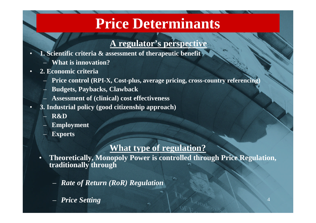## **Price Determinants**

#### **A regulator's perspective**

- **1. Scientific criteria & assessment of therapeutic benefit**
	- **What is innovation?**
- **2. Economic criteria**
	- **Price control (RPI-X, Cost-plus, average pricing, cross-country referencing)**
	- **Budgets, Paybacks, Clawback**
	- **Assessment of (clinical) cost effectiveness**
- **3. Industrial policy (good citizenship approach)**
	- **R&D**
	- **Employment**
	- **Exports**

#### **What type of regulation?**

- **Theoretically, Monopoly Power is controlled through Price Regulation, traditionally through**
	- *Rate of Return (RoR) Regulation*
	- *Price Setting*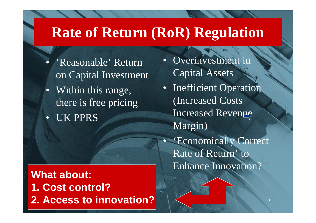## **Rate of Return (RoR) Regulation**

- 'Reasonable' Return on Capital Investment
- Within this range, there is free pricing
- UK PPRS

**What about: 1. Cost control? 2. Access to innovation?**

- Overinvestment in Capital Assets
- Inefficient Operation (Increased Costs Increased Revenue Margin)
- 'Economically Correct Rate of Return' to Enhance Innovation?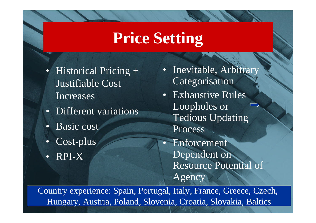## **Price Setting**

- Historical Pricing + Justifiable Cost Increases
- Different variations
- Basic cost
- Cost-plus
- RPI-X
- Inevitable, Arbitrary Categorisation
- Exhaustive Rules Loopholes or Tedious Updating Process
- **Enforcement** Dependent on Resource Potential of Agency

Hungary, Austria, Poland, Slovenia, Croatia, Slovakia, Baltics Country experience: Spain, Portugal, Italy, France, Greece, Czech,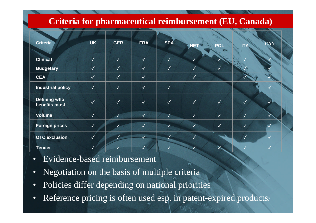#### **Criteria for pharmaceutical reimbursement (EU, Canada)**

| <b>Criteria</b>                      | <b>UK</b>    | <b>GER</b>   | <b>FRA</b>   | <b>SPA</b>   | <b>NET</b>   | <b>POL</b>   | <b>ITA</b>   | <b>CAN</b> |
|--------------------------------------|--------------|--------------|--------------|--------------|--------------|--------------|--------------|------------|
| <b>Clinical</b>                      | $\checkmark$ | $\checkmark$ | $\checkmark$ | $\checkmark$ | V            |              |              |            |
| <b>Budgetary</b>                     | $\sqrt{}$    | $\checkmark$ | $\checkmark$ | $\checkmark$ | $\sqrt{}$    | $\checkmark$ |              |            |
| <b>CEA</b>                           | $\checkmark$ | $\checkmark$ | $\checkmark$ |              | $\checkmark$ |              |              |            |
| <b>Industrial policy</b>             | $\sqrt{}$    | $\checkmark$ | $\checkmark$ | $\checkmark$ |              |              |              |            |
| <b>Defining who</b><br>benefits most | $\sqrt{}$    | $\checkmark$ | $\checkmark$ | $\checkmark$ | $\checkmark$ | $\sqrt{}$    | $\checkmark$ |            |
| <b>Volume</b>                        | $\sqrt{2}$   | $\checkmark$ | $\checkmark$ | $\sqrt{}$    | $\checkmark$ | $\sqrt{2}$   | $\checkmark$ |            |
| <b>Foreign prices</b>                | $\sqrt{2}$   | $\checkmark$ | $\checkmark$ | $\checkmark$ | <b>V</b>     | $\checkmark$ | $\checkmark$ |            |
| <b>OTC</b> exclusion                 | $\checkmark$ | $\checkmark$ |              | $\sqrt{}$    | $\sqrt{}$    |              | $\sqrt{}$    |            |
| <b>Tender</b>                        | $\sqrt{2}$   | $\checkmark$ | S            | $\checkmark$ | $\sqrt{}$    |              |              |            |

- Evidence-based reimbursement
- Negotiation on the basis of multiple criteria
- Policies differ depending on national priorities
- Reference pricing is often used esp. in patent-expired products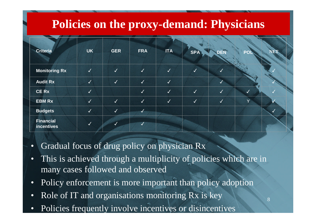### **Policies on the proxy-demand: Physicians**

| <b>Criteria</b>                | <b>UK</b>    | <b>GER</b> | <b>FRA</b>   | <b>ITA</b>   | <b>SPA</b>       | DEÑ                     | POI       | NET          |
|--------------------------------|--------------|------------|--------------|--------------|------------------|-------------------------|-----------|--------------|
|                                |              |            |              |              |                  |                         |           |              |
| <b>Monitoring Rx</b>           | $\checkmark$ | $\sqrt{}$  | J            | $\sqrt{}$    | $\sqrt{}$        | $\checkmark$            |           |              |
| <b>Audit Rx</b>                | $\checkmark$ | $\sqrt{2}$ | $\checkmark$ | $\sqrt{2}$   |                  | J                       |           |              |
| <b>CE Rx</b>                   | V            |            | $\checkmark$ | $\checkmark$ | $\sqrt{}$        | $\overline{\sqrt{ }}$   | $\sqrt{}$ |              |
| <b>EBM Rx</b>                  | $\sqrt{}$    | J          | $\sqrt{}$    | $\checkmark$ | $\boldsymbol{J}$ | $\overline{\checkmark}$ | Y         |              |
| <b>Budgets</b>                 | $\checkmark$ | $\sqrt{}$  | $\checkmark$ |              |                  |                         |           | $\checkmark$ |
| <b>Financial</b><br>incentives | $\sqrt{}$    | √          | √            |              |                  |                         |           |              |

- Gradual focus of drug policy on physician Rx
- This is achieved through a multiplicity of policies which are in many cases followed and observed
- Policy enforcement is more important than policy adoption
- Role of IT and organisations monitoring Rx is key
- Policies frequently involve incentives or disincentives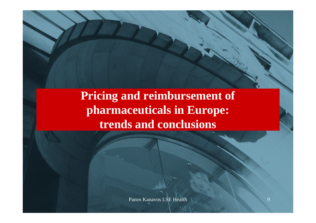### **Pricing and reimbursement of pharmaceuticals in Europe: trends and conclusions**

Panos Kanavos LSE Health 9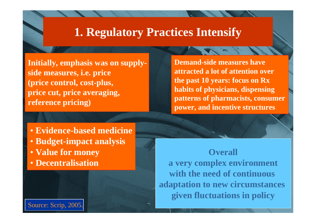#### **1. Regulatory Practices Intensify**

**Initially, emphasis was on supplyside measures, i.e. price (price control, cost-plus, price cut, price averaging, reference pricing)**

**Demand-side measures have attracted a lot of attention over the past 10 years: focus on Rx habits of physicians, dispensing patterns of pharmacists, consumer power, and incentive structures**

- **Evidence-based medicine**
- **Budget-impact analysis**
- **Value for money**
- **Decentralisation**

given fluctuations in policy **Overall a very complex environment with the need of continuous adaptation to new circumstances**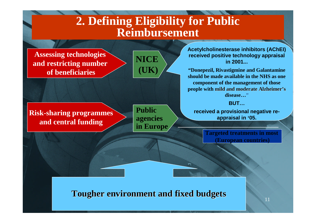### **2. Defining Eligibility for Public Reimbursement**

**Assessing technologies and restricting number of beneficiaries**

**NICE (UK)**

**Risk-sharing programmes and central funding**

**Public agencies in Europe** **Acetylcholinesterase inhibitors (AChEI) received positive technology appraisal in 2001...**

**"Donepezil, Rivastigmine and Galantamine should be made available in the NHS as one component of the management of those people with mild and moderate Alzheimer's disease…"**

**BUT…**

**received a provisional negative reappraisal in '05.**

> **Targeted treatments in most (European countries)**

Panos Kanavos LSE Health 11 **Tougher environment and fixed budgets**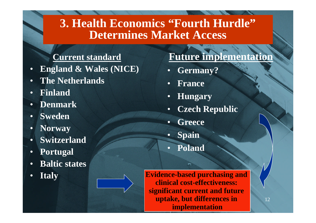### **3. Health Economics "Fourth Hurdle" Determines Market Access**

#### **Current standard**

- **England & Wales (NICE)**
- **The Netherlands**
- **Finland**
- **Denmark**
- **Sweden**
- **Norway**
- **Switzerland**
- **Portugal**
- **Baltic states**
- **Italy**

#### **Future implementation**

- **Germany?**
- **France**
- **Hungary**
- **Czech Republic**
- **Greece**
- **Spain**
- **Poland**

**Evidence-based purchasing and clinical cost-effectiveness: significant current and future uptake, but differences in implementation**

12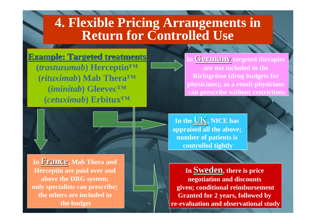### **4. Flexible Pricing Arrangements in Return for Controlled Use**

**Example: Targeted treatments (***trastuzumab***) Herceptin™ (***rituximab***) Mab Thera™ (***iminitab***) Gleevec™ (***cetuximab***) Erbitux™**

**<u>Germany</u>** targeted therapies **are not included in the Richtgrösse (drug budgets for physicians); as a result physicians can prescribe without restrictions**



**In France, Mab Thera and Herceptin are paid over and above the DRG system; only specialists can prescribe; the others are included in the budget**

**In the UK, NICE has appraised all the above; number of patients is controlled tightly**

 $\frac{1}{2}$ **In Sweden, there is price negotiation and discounts given; conditional reimbursement Granted for 2 years, followed by re-evaluation and observational study**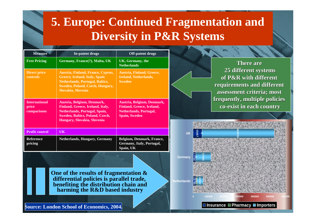### **5. Europe: Continued Fragmentation and Diversity in P&R Systems**

**18798 17720**

**Netherlands**

**Germany**

**5902 0**

**40692**

**55887 UK**

**0**

**97965**

| <b>Measure</b>                               | In-patent drugs                                                                                                                                                              | <b>Off-patent drugs</b>                                                                                          |
|----------------------------------------------|------------------------------------------------------------------------------------------------------------------------------------------------------------------------------|------------------------------------------------------------------------------------------------------------------|
| <b>Free Pricing</b>                          | Germany, France(?), Malta, UK                                                                                                                                                | <b>UK, Germany, the</b><br><b>Netherlands</b>                                                                    |
| <b>Direct price</b><br>controls              | Austria, Finland, France, Cyprus,<br>Greece, Ireland, Italy, Spain<br><b>Netherlands, Portugal, Baltics,</b><br><b>Sweden, Poland, Czech, Hungary,</b><br>Slovakia, Slovenia | <b>Austria, Finland, Greece,</b><br><b>Ireland, Netherlands,</b><br><b>Sweden</b>                                |
| <b>International</b><br>price<br>comparisons | Austria, Belgium, Denmark,<br>Finland, Greece, Ireland, Italy,<br><b>Netherlands, Portugal, Spain,</b><br>Sweden, Baltics, Poland, Czech,<br>Hungary, Slovakia, Slovenia     | Austria, Belgium, Denmark,<br><b>Finland, Greece, Ireland,</b><br><b>Netherlands, Portugal,</b><br>Spain, Sweden |
| <b>Profit control</b>                        | UK                                                                                                                                                                           |                                                                                                                  |
| <b>Reference</b><br>pricing                  | <b>Netherlands, Hungary, Germany</b>                                                                                                                                         | Belgium, Denmark, France,<br>Germany, Italy, Portugal,<br>Spain, UK                                              |

**There are 25 different systems of P&R with different requirements and different assessment criteria; most frequently, multiple policies co-exist in each country**

**469450**

**0 100000 200000 300000 400000 500000 600000**

**Insurance Pharmacy Importers**

 $\frac{300}{100}$ 

**One of the results of fragmentation & differential policies is parallel trade, benefiting the distribution chain and harming the R&D based industry**

**Source: London School of Economics, 2004.**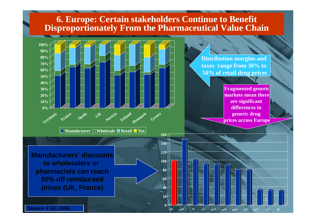#### **6. Europe: Certain stakeholders Continue to Benefit Disproportionately From the Pharmaceutical Value Chain**